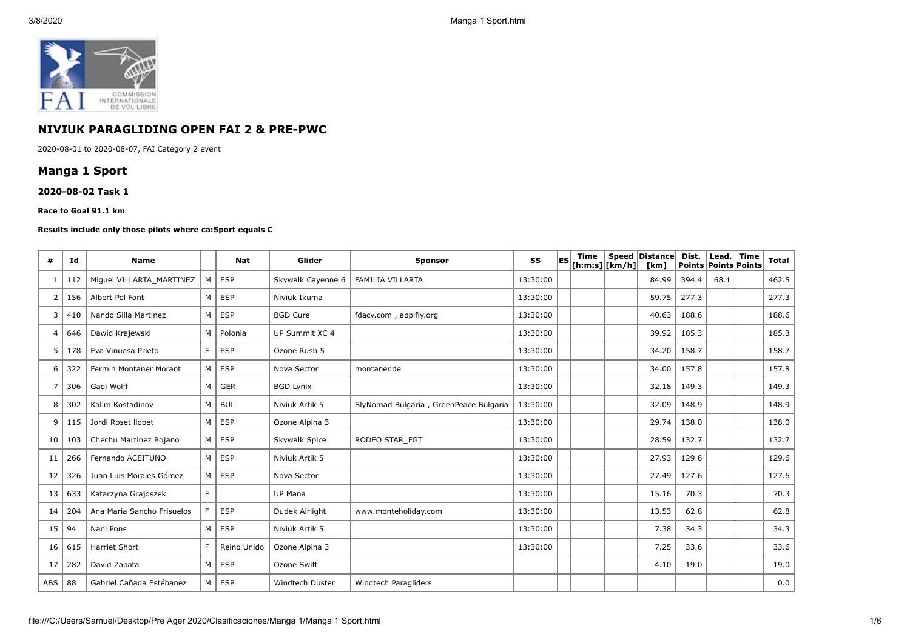

## **NIVIUK PARAGLIDING OPEN FAI 2 & PRE-PWC**

2020-08-01 to 2020-08-07, FAI Category 2 event

# **Manga 1 Sport**

#### **2020-08-02 Task 1**

#### **Race to Goal 91.1 km**

#### **Results include only those pilots where ca:Sport equals C**

| #              | Id  | <b>Name</b>                |    | <b>Nat</b>  | Glider            | <b>Sponsor</b>                         | SS       | lES | Time<br>[ h: m: s]   [ km/h] | Speed Distance<br>[km] | Dist.<br><b>Points Points Points</b> | Lead.   Time | Total |
|----------------|-----|----------------------------|----|-------------|-------------------|----------------------------------------|----------|-----|------------------------------|------------------------|--------------------------------------|--------------|-------|
| -1             | 112 | Miguel VILLARTA MARTINEZ   | M  | <b>ESP</b>  | Skywalk Cayenne 6 | <b>FAMILIA VILLARTA</b>                | 13:30:00 |     |                              | 84.99                  | 394.4                                | 68.1         | 462.5 |
| $\overline{2}$ | 156 | Albert Pol Font            | M  | <b>ESP</b>  | Niviuk Ikuma      |                                        | 13:30:00 |     |                              | 59.75                  | 277.3                                |              | 277.3 |
| 3              | 410 | Nando Silla Martínez       | M  | <b>ESP</b>  | <b>BGD Cure</b>   | fdacv.com, appifly.org                 | 13:30:00 |     |                              | 40.63                  | 188.6                                |              | 188.6 |
| $\overline{4}$ | 646 | Dawid Krajewski            | M  | Polonia     | UP Summit XC 4    |                                        | 13:30:00 |     |                              | 39.92                  | 185.3                                |              | 185.3 |
| 5              | 178 | Eva Vinuesa Prieto         | F  | <b>ESP</b>  | Ozone Rush 5      |                                        | 13:30:00 |     |                              | 34.20                  | 158.7                                |              | 158.7 |
| 6              | 322 | Fermin Montaner Morant     | M  | <b>ESP</b>  | Nova Sector       | montaner.de                            | 13:30:00 |     |                              | 34.00                  | 157.8                                |              | 157.8 |
| 7              | 306 | Gadi Wolff                 | M  | <b>GER</b>  | <b>BGD Lynix</b>  |                                        | 13:30:00 |     |                              | 32.18                  | 149.3                                |              | 149.3 |
| 8              | 302 | Kalim Kostadinov           | M  | <b>BUL</b>  | Niviuk Artik 5    | SlyNomad Bulgaria, GreenPeace Bulgaria | 13:30:00 |     |                              | 32.09                  | 148.9                                |              | 148.9 |
| 9              | 115 | Jordi Roset Ilobet         | M  | <b>ESP</b>  | Ozone Alpina 3    |                                        | 13:30:00 |     |                              | 29.74                  | 138.0                                |              | 138.0 |
| 10             | 103 | Chechu Martinez Rojano     | M  | <b>ESP</b>  | Skywalk Spice     | RODEO STAR FGT                         | 13:30:00 |     |                              | 28.59                  | 132.7                                |              | 132.7 |
| 11             | 266 | Fernando ACEITUNO          | M  | <b>ESP</b>  | Niviuk Artik 5    |                                        | 13:30:00 |     |                              | 27.93                  | 129.6                                |              | 129.6 |
| 12             | 326 | Juan Luis Morales Gómez    | M  | <b>ESP</b>  | Nova Sector       |                                        | 13:30:00 |     |                              | 27.49                  | 127.6                                |              | 127.6 |
| 13             | 633 | Katarzyna Grajoszek        | F. |             | <b>UP Mana</b>    |                                        | 13:30:00 |     |                              | 15.16                  | 70.3                                 |              | 70.3  |
| 14             | 204 | Ana Maria Sancho Frisuelos | F  | <b>ESP</b>  | Dudek Airlight    | www.monteholiday.com                   | 13:30:00 |     |                              | 13.53                  | 62.8                                 |              | 62.8  |
| 15             | 94  | Nani Pons                  | M  | <b>ESP</b>  | Niviuk Artik 5    |                                        | 13:30:00 |     |                              | 7.38                   | 34.3                                 |              | 34.3  |
| 16             | 615 | <b>Harriet Short</b>       | F  | Reino Unido | Ozone Alpina 3    |                                        | 13:30:00 |     |                              | 7.25                   | 33.6                                 |              | 33.6  |
| 17             | 282 | David Zapata               | M  | <b>ESP</b>  | Ozone Swift       |                                        |          |     |                              | 4.10                   | 19.0                                 |              | 19.0  |
| ABS            | 88  | Gabriel Cañada Estébanez   | M  | <b>ESP</b>  | Windtech Duster   | Windtech Paragliders                   |          |     |                              |                        |                                      |              | 0.0   |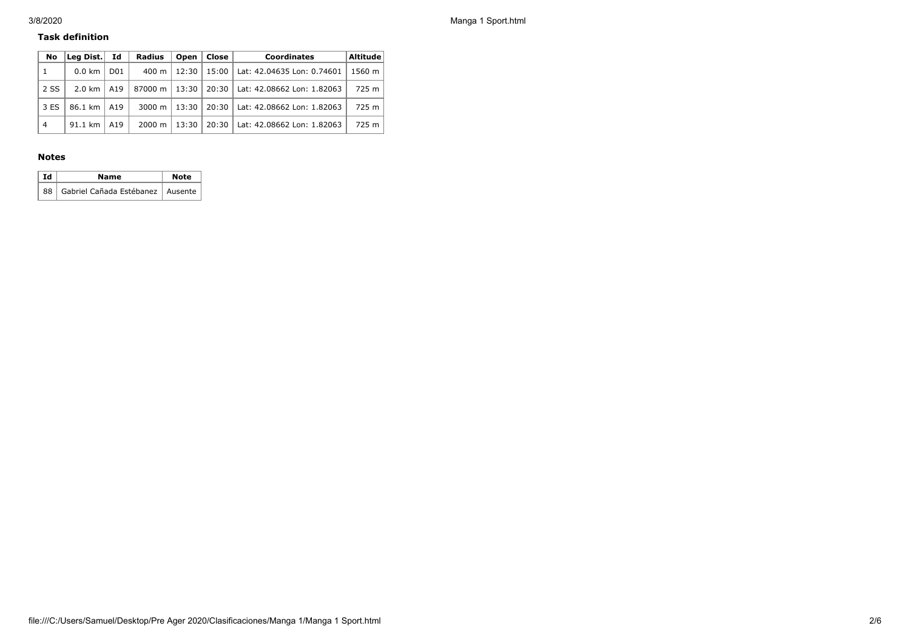### **Task definition**

| No             | Lea Dist.        | Id              | <b>Radius</b>      | Open  | <b>Close</b> | <b>Coordinates</b>         | <b>Altitude</b> |
|----------------|------------------|-----------------|--------------------|-------|--------------|----------------------------|-----------------|
| 1              | $0.0 \text{ km}$ | D <sub>01</sub> | 400 m              | 12:30 | 15:00        | Lat: 42.04635 Lon: 0.74601 | 1560 m          |
| 2 SS           | $2.0 \text{ km}$ | A19             | 87000 m            | 13:30 | 20:30        | Lat: 42.08662 Lon: 1.82063 | 725 m           |
| 3 ES           | 86.1 km   A19    |                 | $3000 \; \text{m}$ | 13:30 | 20:30        | Lat: 42.08662 Lon: 1.82063 | 725 m           |
| $\overline{4}$ | 91.1 km          | A19             | $2000 \; \text{m}$ | 13:30 | 20:30        | Lat: 42.08662 Lon: 1.82063 | 725 m           |

### **Notes**

| Id | Name                                  | <b>Note</b> |  |  |
|----|---------------------------------------|-------------|--|--|
|    | 88 Gabriel Cañada Estébanez   Ausente |             |  |  |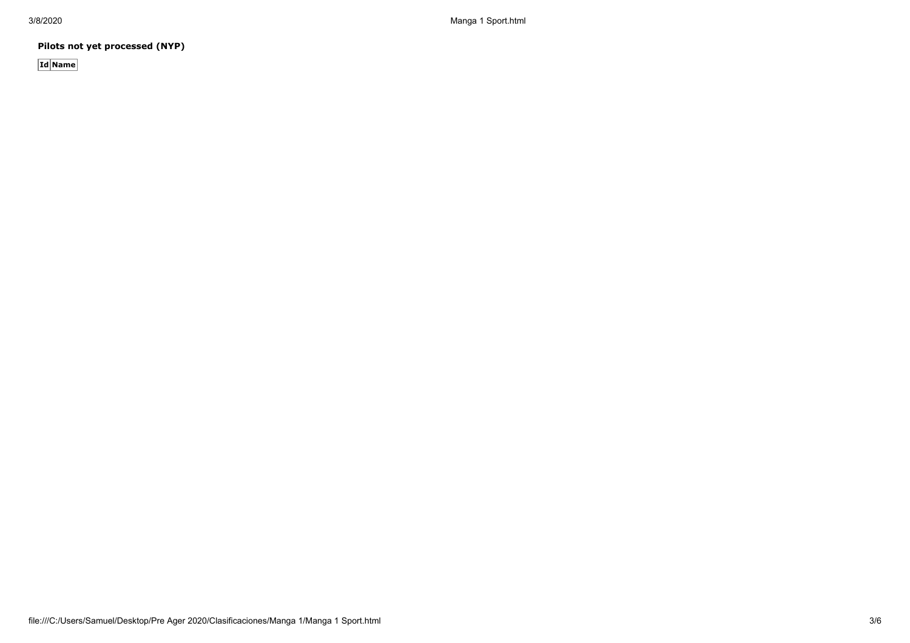3/8/2020 Manga 1 Sport.html

**Pilots not yet processed (NYP)**

**Id Name**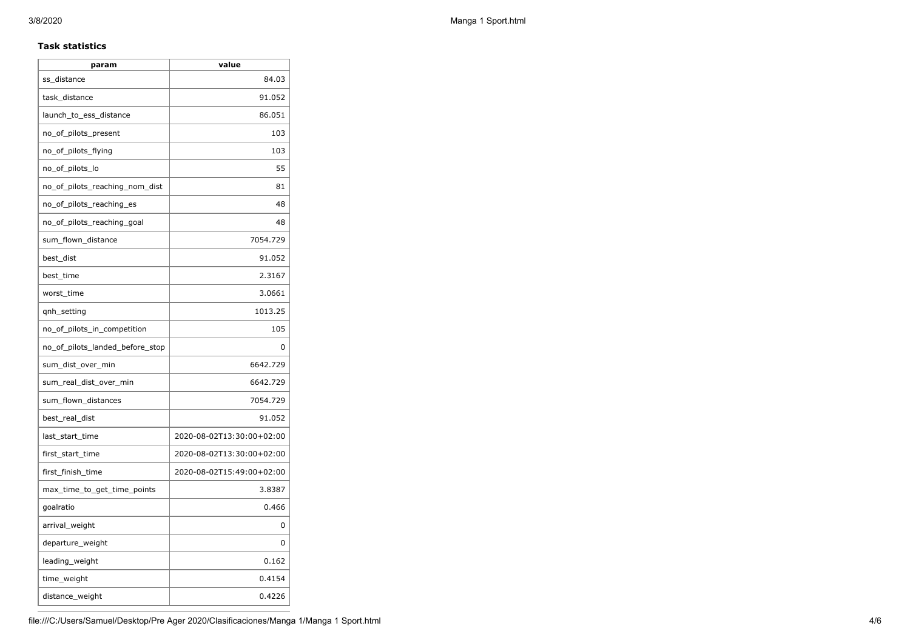## **Task statistics**

| param                           | value                     |
|---------------------------------|---------------------------|
| ss_distance                     | 84.03                     |
| task_distance                   | 91.052                    |
| launch_to_ess_distance          | 86.051                    |
| no_of_pilots_present            | 103                       |
| no_of_pilots_flying             | 103                       |
| no_of_pilots_lo                 | 55                        |
| no_of_pilots_reaching_nom_dist  | 81                        |
| no_of_pilots_reaching_es        | 48                        |
| no of pilots reaching goal      | 48                        |
| sum_flown_distance              | 7054.729                  |
| best_dist                       | 91.052                    |
| best_time                       | 2.3167                    |
| worst_time                      | 3.0661                    |
| qnh_setting                     | 1013.25                   |
| no_of_pilots_in_competition     | 105                       |
| no_of_pilots_landed_before_stop | 0                         |
| sum_dist_over_min               | 6642.729                  |
| sum_real_dist_over_min          | 6642.729                  |
| sum_flown_distances             | 7054.729                  |
| best_real_dist                  | 91.052                    |
| last_start_time                 | 2020-08-02T13:30:00+02:00 |
| first_start_time                | 2020-08-02T13:30:00+02:00 |
| first_finish_time               | 2020-08-02T15:49:00+02:00 |
| max_time_to_get_time_points     | 3.8387                    |
| goalratio                       | 0.466                     |
| arrival_weight                  | 0                         |
| departure_weight                | 0                         |
| leading_weight                  | 0.162                     |
| time_weight                     | 0.4154                    |
| distance_weight                 | 0.4226                    |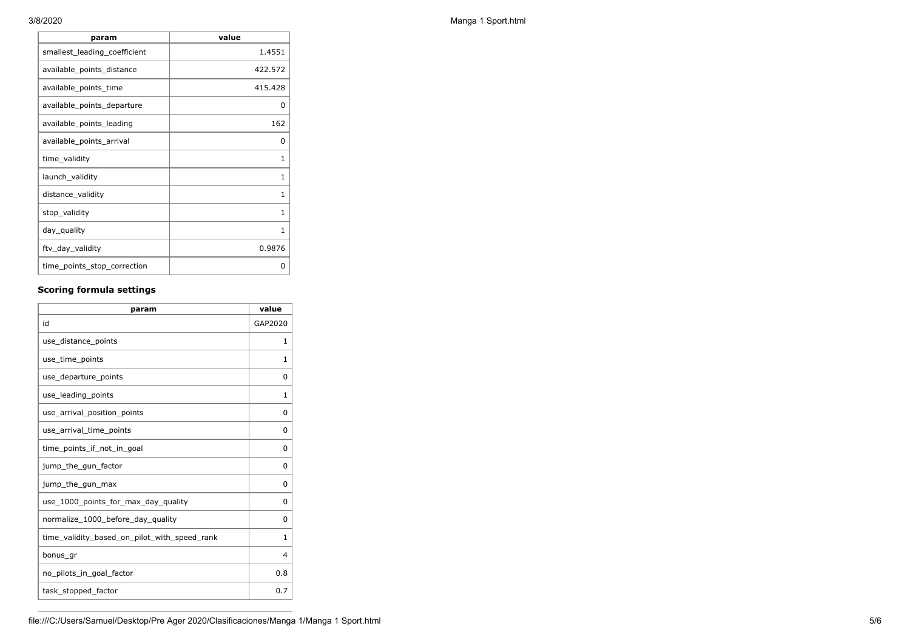| param                        | value   |
|------------------------------|---------|
| smallest_leading_coefficient | 1.4551  |
| available_points_distance    | 422.572 |
| available_points_time        | 415.428 |
| available_points_departure   | 0       |
| available_points_leading     | 162     |
| available_points_arrival     | 0       |
| time_validity                | 1       |
| launch_validity              | 1       |
| distance_validity            | 1       |
| stop_validity                | 1       |
| day_quality                  | 1       |
| ftv_day_validity             | 0.9876  |
| time_points_stop_correction  | O       |

## **Scoring formula settings**

| param                                        | value    |
|----------------------------------------------|----------|
| id                                           | GAP2020  |
| use_distance_points                          | 1        |
| use_time_points                              | 1        |
| use_departure_points                         | $\Omega$ |
| use_leading_points                           | 1        |
| use arrival position points                  | $\Omega$ |
| use_arrival_time_points                      | 0        |
| time points if not in goal                   | 0        |
| jump_the_gun_factor                          | $\Omega$ |
| jump_the_gun_max                             | 0        |
| use_1000_points_for_max_day_quality          | $\Omega$ |
| normalize_1000_before_day_quality            | 0        |
| time_validity_based_on_pilot_with_speed_rank | 1        |
| bonus_gr                                     | 4        |
| no pilots in goal factor                     | 0.8      |
| task_stopped_factor                          | 0.7      |